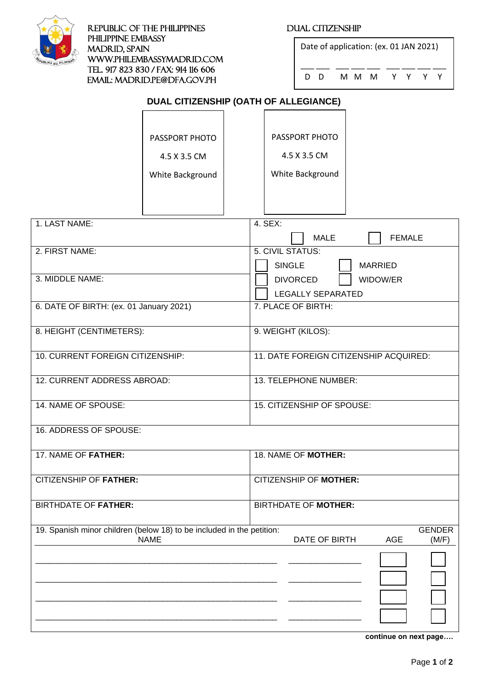

REPUBLIC OF THE PHILIPPINES DUAL CITIZENSHIP PHILIPPINE EMBASSY MADRID, SPAIN [www.philembassymadrid.com](http://www.philembassymadrid.com/)  Tel. 917 823 830 / Fax: 914 116 606 Email: madrid.pe@dfa.gov.ph

| Date of application: (ex. 01 JAN 2021) |     |  |     |  |  |       |  |  |  |
|----------------------------------------|-----|--|-----|--|--|-------|--|--|--|
|                                        | ם מ |  | MMM |  |  | YY YY |  |  |  |

# **DUAL CITIZENSHIP (OATH OF ALLEGIANCE)**

|                                                                       | PASSPORT PHOTO   |  | PASSPORT PHOTO                                   |  |  |  |
|-----------------------------------------------------------------------|------------------|--|--------------------------------------------------|--|--|--|
|                                                                       | 4.5 X 3.5 CM     |  | 4.5 X 3.5 CM                                     |  |  |  |
|                                                                       | White Background |  | White Background                                 |  |  |  |
|                                                                       |                  |  |                                                  |  |  |  |
|                                                                       |                  |  |                                                  |  |  |  |
| 1. LAST NAME:                                                         |                  |  | 4. SEX:                                          |  |  |  |
|                                                                       |                  |  | <b>MALE</b><br><b>FEMALE</b>                     |  |  |  |
| 2. FIRST NAME:                                                        |                  |  | 5. CIVIL STATUS:                                 |  |  |  |
| 3. MIDDLE NAME:                                                       |                  |  | <b>SINGLE</b><br><b>MARRIED</b>                  |  |  |  |
|                                                                       |                  |  | <b>DIVORCED</b><br>WIDOW/ER<br>LEGALLY SEPARATED |  |  |  |
| 6. DATE OF BIRTH: (ex. 01 January 2021)                               |                  |  | 7. PLACE OF BIRTH:                               |  |  |  |
|                                                                       |                  |  |                                                  |  |  |  |
| 8. HEIGHT (CENTIMETERS):                                              |                  |  | 9. WEIGHT (KILOS):                               |  |  |  |
| 10. CURRENT FOREIGN CITIZENSHIP:                                      |                  |  | 11. DATE FOREIGN CITIZENSHIP ACQUIRED:           |  |  |  |
|                                                                       |                  |  |                                                  |  |  |  |
| 12. CURRENT ADDRESS ABROAD:                                           |                  |  | 13. TELEPHONE NUMBER:                            |  |  |  |
| 14. NAME OF SPOUSE:                                                   |                  |  | 15. CITIZENSHIP OF SPOUSE:                       |  |  |  |
| 16. ADDRESS OF SPOUSE:                                                |                  |  |                                                  |  |  |  |
|                                                                       |                  |  |                                                  |  |  |  |
| 17. NAME OF FATHER:                                                   |                  |  | 18. NAME OF MOTHER:                              |  |  |  |
| CITIZENSHIP OF FATHER:                                                |                  |  | CITIZENSHIP OF MOTHER:                           |  |  |  |
|                                                                       |                  |  |                                                  |  |  |  |
| <b>BIRTHDATE OF FATHER:</b>                                           |                  |  | <b>BIRTHDATE OF MOTHER:</b>                      |  |  |  |
| 19. Spanish minor children (below 18) to be included in the petition: |                  |  | <b>GENDER</b>                                    |  |  |  |
|                                                                       | <b>NAME</b>      |  | DATE OF BIRTH<br><b>AGE</b><br>(M/F)             |  |  |  |
|                                                                       |                  |  |                                                  |  |  |  |
|                                                                       |                  |  |                                                  |  |  |  |
|                                                                       |                  |  |                                                  |  |  |  |
|                                                                       |                  |  |                                                  |  |  |  |
|                                                                       |                  |  |                                                  |  |  |  |
|                                                                       |                  |  | continue on next page                            |  |  |  |